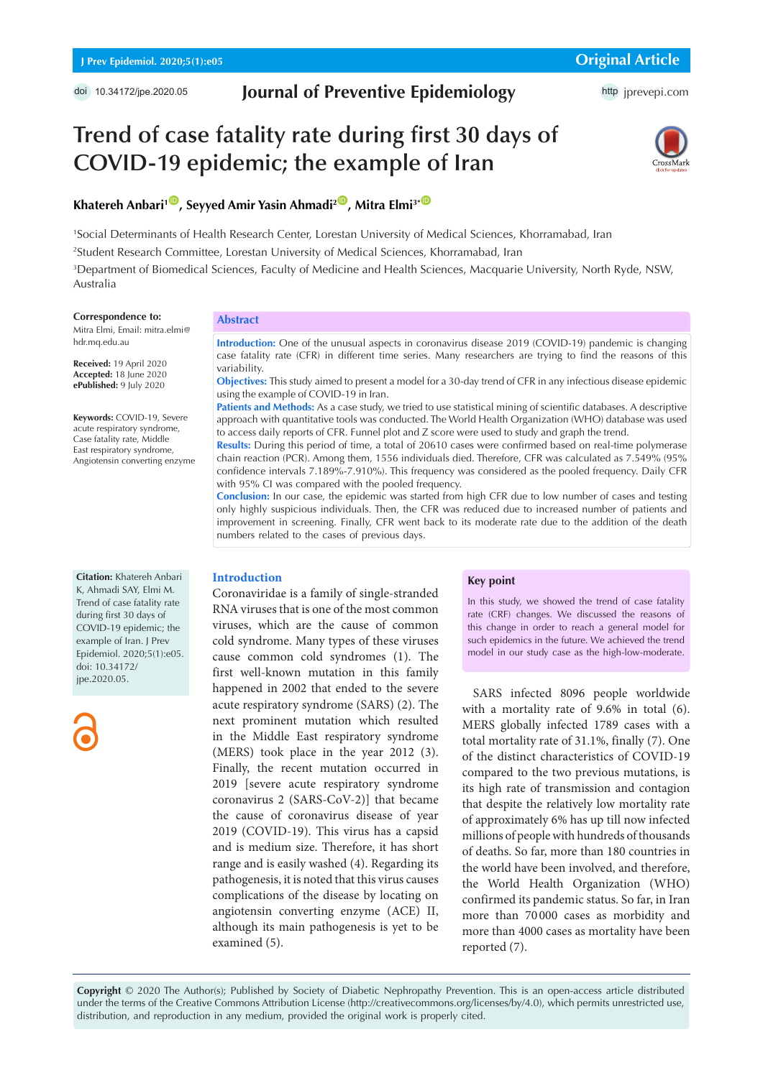# **Journal of Preventive Epidemiology**

# **Trend of case fatality rate during first 30 days of COVID-19 epidemic; the example of Iran**



# **Khatereh Anbari<sup>1</sup><sup>10</sup>, Seyyed Amir Yasin Ahmadi<sup>2</sup><sup>10</sup>, Mitra Elmi<sup>3\* 10</sup>**

 Social Determinants of Health Research Center, Lorestan University of Medical Sciences, Khorramabad, Iran Student Research Committee, Lorestan University of Medical Sciences, Khorramabad, Iran Department of Biomedical Sciences, Faculty of Medicine and Health Sciences, Macquarie University, North Ryde, NSW, Australia

#### **Correspondence to:**

Mitra Elmi, Email: mitra.elmi@ hdr.mq.edu.au

**Received:** 19 April 2020 **Accepted:** 18 June 2020 **ePublished:** 9 July 2020

**Keywords:** COVID-19, Severe acute respiratory syndrome, Case fatality rate, Middle East respiratory syndrome, Angiotensin converting enzyme

#### **Abstract**

**Introduction:** One of the unusual aspects in coronavirus disease 2019 (COVID-19) pandemic is changing case fatality rate (CFR) in different time series. Many researchers are trying to find the reasons of this variability.

**Objectives:** This study aimed to present a model for a 30-day trend of CFR in any infectious disease epidemic using the example of COVID-19 in Iran.

Patients and Methods: As a case study, we tried to use statistical mining of scientific databases. A descriptive approach with quantitative tools was conducted. The World Health Organization (WHO) database was used to access daily reports of CFR. Funnel plot and Z score were used to study and graph the trend.

**Results:** During this period of time, a total of 20610 cases were confirmed based on real-time polymerase chain reaction (PCR). Among them, 1556 individuals died. Therefore, CFR was calculated as 7.549% (95% confidence intervals 7.189%-7.910%). This frequency was considered as the pooled frequency. Daily CFR with 95% CI was compared with the pooled frequency.

**Conclusion:** In our case, the epidemic was started from high CFR due to low number of cases and testing only highly suspicious individuals. Then, the CFR was reduced due to increased number of patients and improvement in screening. Finally, CFR went back to its moderate rate due to the addition of the death numbers related to the cases of previous days.

#### **Citation:** Khatereh Anbari

K, Ahmadi SAY, Elmi M. Trend of case fatality rate during first 30 days of COVID-19 epidemic; the example of Iran. J Prev Epidemiol. 2020;5(1):e05. doi: 10.34172/ jpe.2020.05.



#### **Introduction**

Coronaviridae is a family of single-stranded RNA viruses that is one of the most common viruses, which are the cause of common cold syndrome. Many types of these viruses cause common cold syndromes (1). The first well-known mutation in this family happened in 2002 that ended to the severe acute respiratory syndrome (SARS) (2). The next prominent mutation which resulted in the Middle East respiratory syndrome (MERS) took place in the year 2012 (3). Finally, the recent mutation occurred in 2019 [severe acute respiratory syndrome coronavirus 2 (SARS-CoV-2)] that became the cause of coronavirus disease of year 2019 (COVID-19). This virus has a capsid and is medium size. Therefore, it has short range and is easily washed (4). Regarding its pathogenesis, it is noted that this virus causes complications of the disease by locating on angiotensin converting enzyme (ACE) II, although its main pathogenesis is yet to be examined (5).

## **Key point**

In this study, we showed the trend of case fatality rate (CRF) changes. We discussed the reasons of this change in order to reach a general model for such epidemics in the future. We achieved the trend model in our study case as the high-low-moderate.

SARS infected 8096 people worldwide with a mortality rate of 9.6% in total (6). MERS globally infected 1789 cases with a total mortality rate of 31.1%, finally (7). One of the distinct characteristics of COVID-19 compared to the two previous mutations, is its high rate of transmission and contagion that despite the relatively low mortality rate of approximately 6% has up till now infected millions of people with hundreds of thousands of deaths. So far, more than 180 countries in the world have been involved, and therefore, the World Health Organization (WHO) confirmed its pandemic status. So far, in Iran more than 70 000 cases as morbidity and more than 4000 cases as mortality have been reported (7).

**Copyright** © 2020 The Author(s); Published by Society of Diabetic Nephropathy Prevention. This is an open-access article distributed under the terms of the Creative Commons Attribution License (http://creativecommons.org/licenses/by/4.0), which permits unrestricted use, distribution, and reproduction in any medium, provided the original work is properly cited.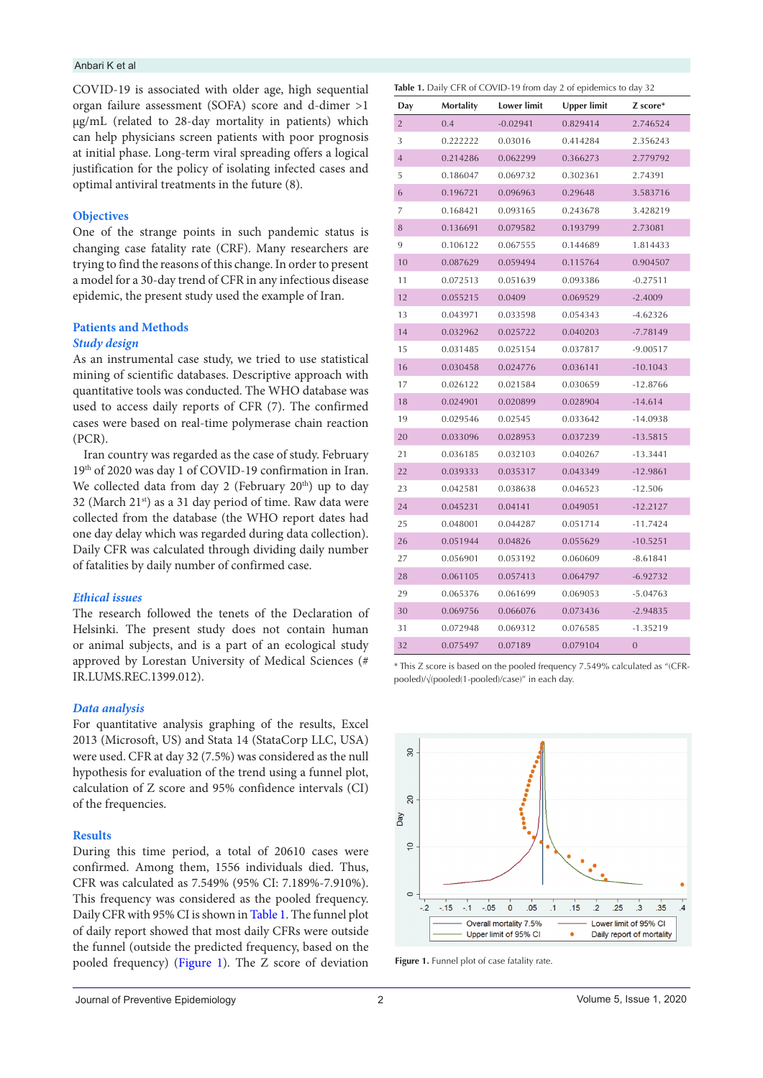#### Anbari K et al

COVID-19 is associated with older age, high sequential organ failure assessment (SOFA) score and d-dimer >1 μg/mL (related to 28-day mortality in patients) which can help physicians screen patients with poor prognosis at initial phase. Long-term viral spreading offers a logical justification for the policy of isolating infected cases and optimal antiviral treatments in the future (8).

## **Objectives**

One of the strange points in such pandemic status is changing case fatality rate (CRF). Many researchers are trying to find the reasons of this change. In order to present a model for a 30-day trend of CFR in any infectious disease epidemic, the present study used the example of Iran.

# **Patients and Methods**  *Study design*

As an instrumental case study, we tried to use statistical mining of scientific databases. Descriptive approach with quantitative tools was conducted. The WHO database was used to access daily reports of CFR (7). The confirmed cases were based on real-time polymerase chain reaction (PCR).

Iran country was regarded as the case of study. February 19th of 2020 was day 1 of COVID-19 confirmation in Iran. We collected data from day 2 (February 20<sup>th</sup>) up to day 32 (March  $21^{st}$ ) as a 31 day period of time. Raw data were collected from the database (the WHO report dates had one day delay which was regarded during data collection). Daily CFR was calculated through dividing daily number of fatalities by daily number of confirmed case.

## *Ethical issues*

The research followed the tenets of the Declaration of Helsinki. The present study does not contain human or animal subjects, and is a part of an ecological study approved by Lorestan University of Medical Sciences (# IR.LUMS.REC.1399.012).

#### *Data analysis*

For quantitative analysis graphing of the results, Excel 2013 (Microsoft, US) and Stata 14 (StataCorp LLC, USA) were used. CFR at day 32 (7.5%) was considered as the null hypothesis for evaluation of the trend using a funnel plot, calculation of Z score and 95% confidence intervals (CI) of the frequencies.

#### **Results**

During this time period, a total of 20610 cases were confirmed. Among them, 1556 individuals died. Thus, CFR was calculated as 7.549% (95% CI: 7.189%-7.910%). This frequency was considered as the pooled frequency. Daily CFR with 95% CI is shown in [Table 1](#page-1-0). The funnel plot of daily report showed that most daily CFRs were outside the funnel (outside the predicted frequency, based on the pooled frequency) [\(Figure 1\)](#page-1-1). The Z score of deviation

<span id="page-1-0"></span>

| Table 1. Daily CFR of COVID-19 from day 2 of epidemics to day 32 |  |
|------------------------------------------------------------------|--|
|------------------------------------------------------------------|--|

| Day            | Mortality | <b>Lower limit</b> | <b>Upper limit</b> | Z score*       |
|----------------|-----------|--------------------|--------------------|----------------|
| $\overline{2}$ | 0.4       | $-0.02941$         | 0.829414           | 2.746524       |
| 3              | 0.222222  | 0.03016            | 0.414284           | 2.356243       |
| $\overline{4}$ | 0.214286  | 0.062299           | 0.366273           | 2.779792       |
| 5              | 0.186047  | 0.069732           | 0.302361           | 2.74391        |
| 6              | 0.196721  | 0.096963           | 0.29648            | 3.583716       |
| 7              | 0.168421  | 0.093165           | 0.243678           | 3.428219       |
| 8              | 0.136691  | 0.079582           | 0.193799           | 2.73081        |
| 9              | 0.106122  | 0.067555           | 0.144689           | 1.814433       |
| 10             | 0.087629  | 0.059494           | 0.115764           | 0.904507       |
| 11             | 0.072513  | 0.051639           | 0.093386           | $-0.27511$     |
| 12             | 0.055215  | 0.0409             | 0.069529           | $-2.4009$      |
| 13             | 0.043971  | 0.033598           | 0.054343           | $-4.62326$     |
| 14             | 0.032962  | 0.025722           | 0.040203           | $-7.78149$     |
| 15             | 0.031485  | 0.025154           | 0.037817           | $-9.00517$     |
| 16             | 0.030458  | 0.024776           | 0.036141           | $-10.1043$     |
| 17             | 0.026122  | 0.021584           | 0.030659           | $-12.8766$     |
| 18             | 0.024901  | 0.020899           | 0.028904           | $-14.614$      |
| 19             | 0.029546  | 0.02545            | 0.033642           | $-14.0938$     |
| 20             | 0.033096  | 0.028953           | 0.037239           | $-13.5815$     |
| 21             | 0.036185  | 0.032103           | 0.040267           | $-13.3441$     |
| 22             | 0.039333  | 0.035317           | 0.043349           | $-12.9861$     |
| 23             | 0.042581  | 0.038638           | 0.046523           | $-12.506$      |
| 24             | 0.045231  | 0.04141            | 0.049051           | $-12.2127$     |
| 25             | 0.048001  | 0.044287           | 0.051714           | $-11.7424$     |
| 26             | 0.051944  | 0.04826            | 0.055629           | $-10.5251$     |
| 27             | 0.056901  | 0.053192           | 0.060609           | $-8.61841$     |
| 28             | 0.061105  | 0.057413           | 0.064797           | $-6.92732$     |
| 29             | 0.065376  | 0.061699           | 0.069053           | $-5.04763$     |
| 30             | 0.069756  | 0.066076           | 0.073436           | $-2.94835$     |
| 31             | 0.072948  | 0.069312           | 0.076585           | $-1.35219$     |
| 32             | 0.075497  | 0.07189            | 0.079104           | $\overline{0}$ |

\* This Z score is based on the pooled frequency 7.549% calculated as "(CFRpooled)/√(pooled(1-pooled)/case)" in each day.

<span id="page-1-1"></span>

**Figure 1.** Funnel plot of case fatality rate.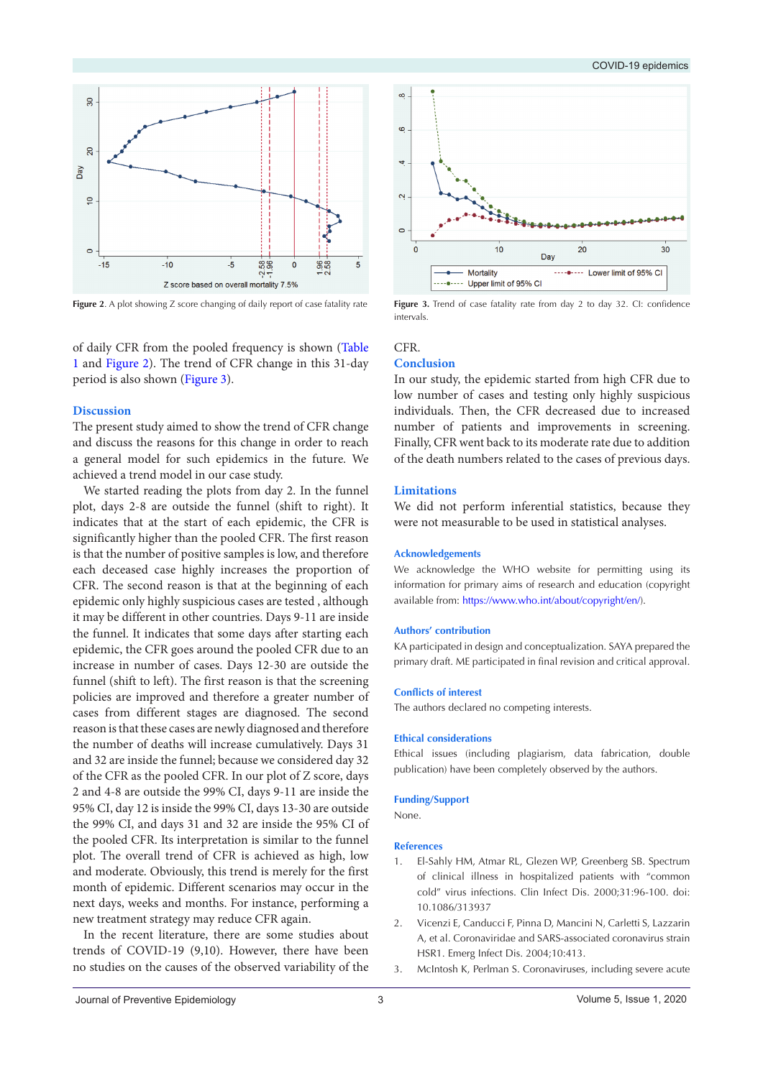#### COVID-19 epidemics

<span id="page-2-0"></span>

Figure 2. A plot showing Z score changing of daily report of case fatality rate Figure 3. Trend of case fatality rate from day 2 to day 32. CI: confidence

of daily CFR from the pooled frequency is shown [\(Table](#page-1-0)  [1](#page-1-0) and [Figure 2](#page-2-0)). The trend of CFR change in this 31-day period is also shown [\(Figure 3\)](#page-2-1).

#### **Discussion**

The present study aimed to show the trend of CFR change and discuss the reasons for this change in order to reach a general model for such epidemics in the future. We achieved a trend model in our case study.

We started reading the plots from day 2. In the funnel plot, days 2-8 are outside the funnel (shift to right). It indicates that at the start of each epidemic, the CFR is significantly higher than the pooled CFR. The first reason is that the number of positive samples is low, and therefore each deceased case highly increases the proportion of CFR. The second reason is that at the beginning of each epidemic only highly suspicious cases are tested , although it may be different in other countries. Days 9-11 are inside the funnel. It indicates that some days after starting each epidemic, the CFR goes around the pooled CFR due to an increase in number of cases. Days 12-30 are outside the funnel (shift to left). The first reason is that the screening policies are improved and therefore a greater number of cases from different stages are diagnosed. The second reason is that these cases are newly diagnosed and therefore the number of deaths will increase cumulatively. Days 31 and 32 are inside the funnel; because we considered day 32 of the CFR as the pooled CFR. In our plot of Z score, days 2 and 4-8 are outside the 99% CI, days 9-11 are inside the 95% CI, day 12 is inside the 99% CI, days 13-30 are outside the 99% CI, and days 31 and 32 are inside the 95% CI of the pooled CFR. Its interpretation is similar to the funnel plot. The overall trend of CFR is achieved as high, low and moderate. Obviously, this trend is merely for the first month of epidemic. Different scenarios may occur in the next days, weeks and months. For instance, performing a new treatment strategy may reduce CFR again.

In the recent literature, there are some studies about trends of COVID-19 (9,10). However, there have been no studies on the causes of the observed variability of the

<span id="page-2-1"></span>

intervals.

# CFR.

#### **Conclusion**

In our study, the epidemic started from high CFR due to low number of cases and testing only highly suspicious individuals. Then, the CFR decreased due to increased number of patients and improvements in screening. Finally, CFR went back to its moderate rate due to addition of the death numbers related to the cases of previous days.

#### **Limitations**

We did not perform inferential statistics, because they were not measurable to be used in statistical analyses.

#### **Acknowledgements**

We acknowledge the WHO website for permitting using its information for primary aims of research and education (copyright available from: [https://www.who.int/about/copyright/en/\)](https://www.who.int/about/copyright/en/).

#### **Authors' contribution**

KA participated in design and conceptualization. SAYA prepared the primary draft. ME participated in final revision and critical approval.

#### **Conflicts of interest**

The authors declared no competing interests.

#### **Ethical considerations**

Ethical issues (including plagiarism, data fabrication, double publication) have been completely observed by the authors.

#### **Funding/Support**

None.

#### **References**

- 1. El-Sahly HM, Atmar RL, Glezen WP, Greenberg SB. Spectrum of clinical illness in hospitalized patients with "common cold" virus infections. Clin Infect Dis. 2000;31:96-100. doi: 10.1086/313937
- 2. Vicenzi E, Canducci F, Pinna D, Mancini N, Carletti S, Lazzarin A, et al. Coronaviridae and SARS-associated coronavirus strain HSR1. Emerg Infect Dis. 2004;10:413.
- 3. McIntosh K, Perlman S. Coronaviruses, including severe acute